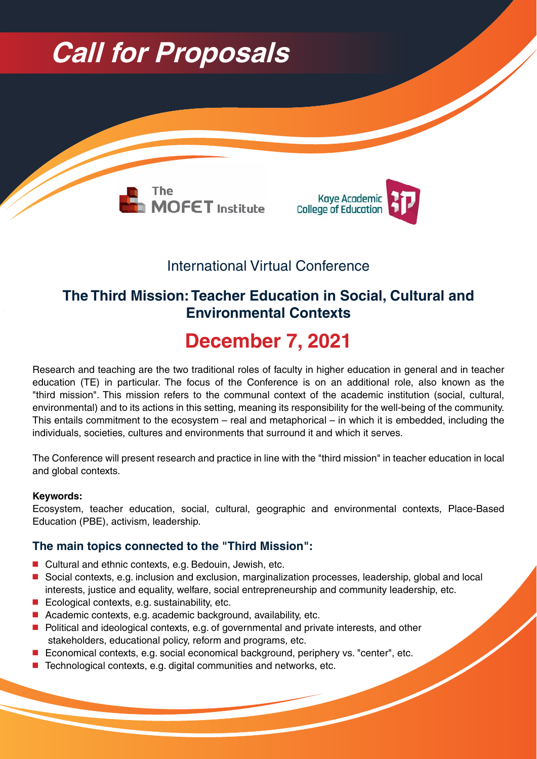

# International Virtual Conference

# **The Third Mission: Teacher Education in Social, Cultural and Environmental Contexts**

# **2021 7, December**

Research and teaching are the two traditional roles of faculty in higher education in general and in teacher education (TE) in particular. The focus of the Conference is on an additional role, also known as the "third mission". This mission refers to the communal context of the academic institution (social, cultural, environmental) and to its actions in this setting, meaning its responsibility for the well-being of the community. This entails commitment to the ecosystem – real and metaphorical – in which it is embedded, including the individuals, societies, cultures and environments that surround it and which it serves.

The Conference will present research and practice in line with the "third mission" in teacher education in local and global contexts.

#### **:Keywords**

Ecosystem, teacher education, social, cultural, geographic and environmental contexts, Place-Based Education (PBE), activism, leadership.

#### **The main topics connected to the "Third Mission":**

- Cultural and ethnic contexts, e.g. Bedouin, Jewish, etc.
- Social contexts, e.g. inclusion and exclusion, marginalization processes, leadership, global and local interests, justice and equality, welfare, social entrepreneurship and community leadership, etc.
- $\blacksquare$  Ecological contexts, e.g. sustainability, etc.
- **E** Academic contexts, e.g. academic background, availability, etc.
- Political and ideological contexts, e.g. of governmental and private interests, and other stakeholders, educational policy, reform and programs, etc.
- Economical contexts, e.g. social economical background, periphery vs. "center", etc.
- Technological contexts, e.g. digital communities and networks, etc.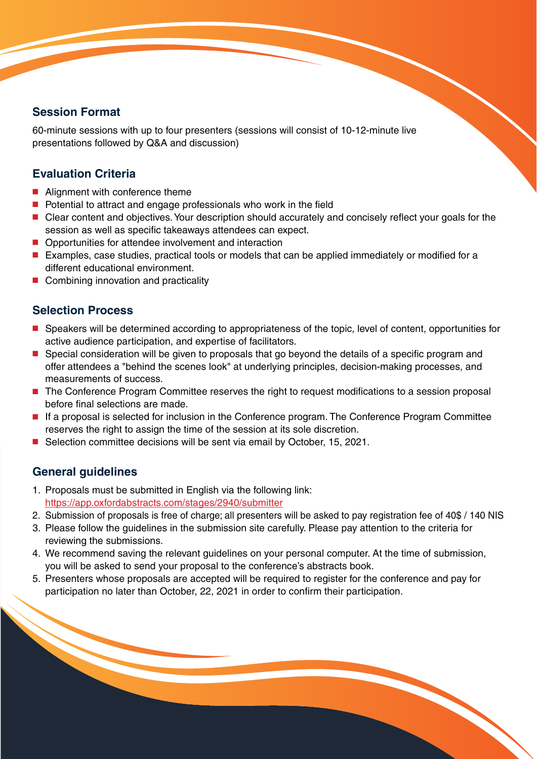## **Session Format**

60-minute sessions with up to four presenters (sessions will consist of 10-12-minute live presentations followed by Q&A and discussion)

## **Evaluation Criteria**

- $\blacksquare$  Alignment with conference theme
- $\blacksquare$  Potential to attract and engage professionals who work in the field
- Clear content and objectives. Your description should accurately and concisely reflect your goals for the session as well as specific takeaways attendees can expect.
- Opportunities for attendee involvement and interaction
- Examples, case studies, practical tools or models that can be applied immediately or modified for a different educational environment.
- $\blacksquare$  Combining innovation and practicality

### **Selection Process**

- Speakers will be determined according to appropriateness of the topic, level of content, opportunities for active audience participation, and expertise of facilitators.
- Special consideration will be given to proposals that go beyond the details of a specific program and offer attendees a "behind the scenes look" at underlying principles, decision-making processes, and measurements of success.
- The Conference Program Committee reserves the right to request modifications to a session proposal before final selections are made.
- If a proposal is selected for inclusion in the Conference program. The Conference Program Committee reserves the right to assign the time of the session at its sole discretion.
- Selection committee decisions will be sent via email by October, 15, 2021.

## **General quidelines**

- 1. Proposals must be submitted in English via the following link: https://app.oxfordabstracts.com/stages/2940/submitter
- 2. Submission of proposals is free of charge; all presenters will be asked to pay registration fee of 40\$ / 140 NIS
- 3. Please follow the guidelines in the submission site carefully. Please pay attention to the criteria for reviewing the submissions.
- 4. We recommend saving the relevant guidelines on your personal computer. At the time of submission, you will be asked to send your proposal to the conference's abstracts book.
- 5. Presenters whose proposals are accepted will be required to register for the conference and pay for participation no later than October, 22, 2021 in order to confirm their participation.